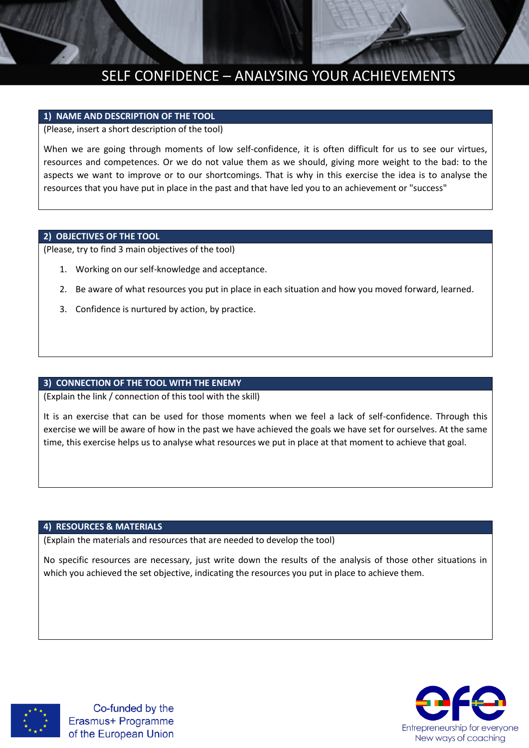# SELF CONFIDENCE – ANALYSING YOUR ACHIEVEMENTS

## **1) NAME AND DESCRIPTION OF THE TOOL**

(Please, insert a short description of the tool)

When we are going through moments of low self-confidence, it is often difficult for us to see our virtues, resources and competences. Or we do not value them as we should, giving more weight to the bad: to the aspects we want to improve or to our shortcomings. That is why in this exercise the idea is to analyse the resources that you have put in place in the past and that have led you to an achievement or "success"

#### **2) OBJECTIVES OF THE TOOL**

(Please, try to find 3 main objectives of the tool)

- 1. Working on our self-knowledge and acceptance.
- 2. Be aware of what resources you put in place in each situation and how you moved forward, learned.
- 3. Confidence is nurtured by action, by practice.

# **3) CONNECTION OF THE TOOL WITH THE ENEMY**

(Explain the link / connection of this tool with the skill)

It is an exercise that can be used for those moments when we feel a lack of self-confidence. Through this exercise we will be aware of how in the past we have achieved the goals we have set for ourselves. At the same time, this exercise helps us to analyse what resources we put in place at that moment to achieve that goal.

#### **4) RESOURCES & MATERIALS**

(Explain the materials and resources that are needed to develop the tool)

No specific resources are necessary, just write down the results of the analysis of those other situations in which you achieved the set objective, indicating the resources you put in place to achieve them.



Co-funded by the Erasmus+ Programme of the European Union